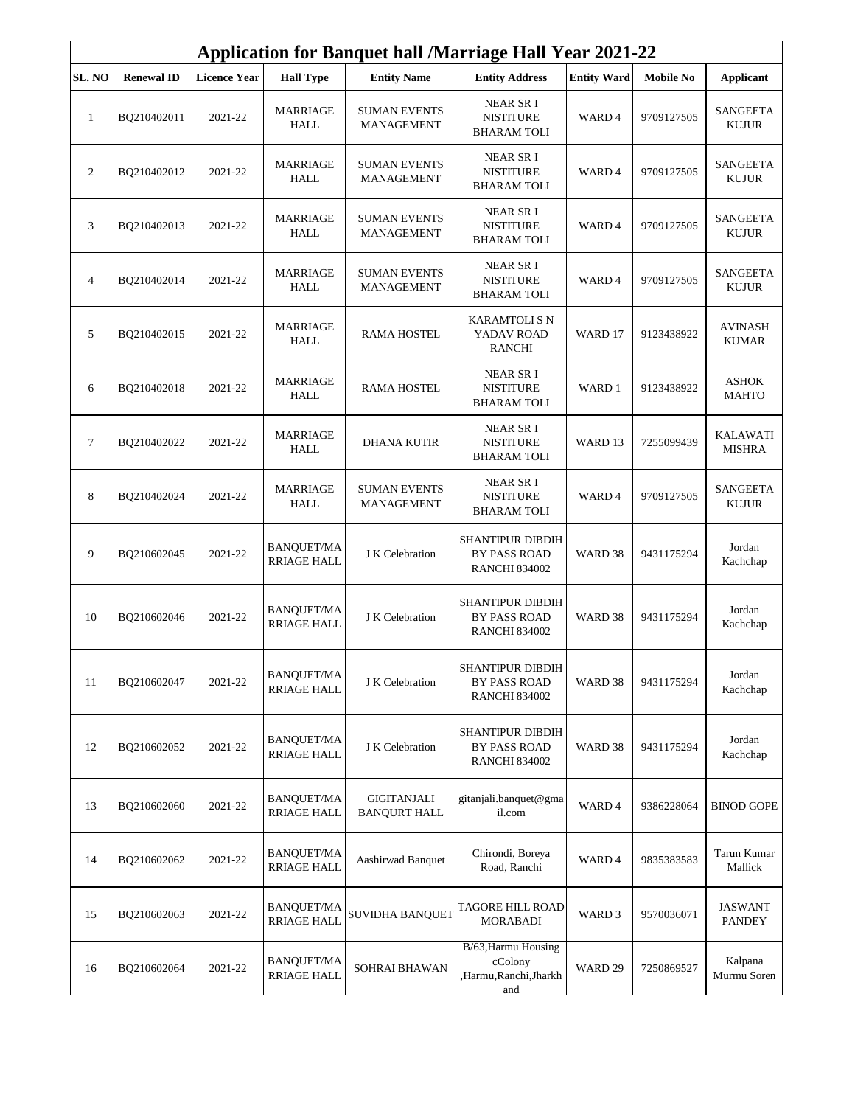| <b>Application for Banquet hall /Marriage Hall Year 2021-22</b> |                   |                     |                                         |                                          |                                                                        |                    |                  |                                  |
|-----------------------------------------------------------------|-------------------|---------------------|-----------------------------------------|------------------------------------------|------------------------------------------------------------------------|--------------------|------------------|----------------------------------|
| <b>SL. NO</b>                                                   | <b>Renewal ID</b> | <b>Licence Year</b> | <b>Hall Type</b>                        | <b>Entity Name</b>                       | <b>Entity Address</b>                                                  | <b>Entity Ward</b> | <b>Mobile No</b> | <b>Applicant</b>                 |
| $\mathbf{1}$                                                    | BQ210402011       | 2021-22             | <b>MARRIAGE</b><br><b>HALL</b>          | <b>SUMAN EVENTS</b><br><b>MANAGEMENT</b> | NEAR SR I<br><b>NISTITURE</b><br><b>BHARAM TOLI</b>                    | WARD 4             | 9709127505       | <b>SANGEETA</b><br><b>KUJUR</b>  |
| 2                                                               | BQ210402012       | 2021-22             | <b>MARRIAGE</b><br>HALL                 | <b>SUMAN EVENTS</b><br><b>MANAGEMENT</b> | NEAR SR I<br><b>NISTITURE</b><br><b>BHARAM TOLI</b>                    | WARD 4             | 9709127505       | <b>SANGEETA</b><br><b>KUJUR</b>  |
| 3                                                               | BQ210402013       | 2021-22             | <b>MARRIAGE</b><br><b>HALL</b>          | <b>SUMAN EVENTS</b><br><b>MANAGEMENT</b> | <b>NEAR SRI</b><br><b>NISTITURE</b><br><b>BHARAM TOLI</b>              | WARD 4             | 9709127505       | <b>SANGEETA</b><br><b>KUJUR</b>  |
| $\overline{4}$                                                  | BQ210402014       | 2021-22             | <b>MARRIAGE</b><br><b>HALL</b>          | <b>SUMAN EVENTS</b><br><b>MANAGEMENT</b> | <b>NEAR SRI</b><br><b>NISTITURE</b><br>BHARAM TOLI                     | WARD 4             | 9709127505       | <b>SANGEETA</b><br><b>KUJUR</b>  |
| 5                                                               | BQ210402015       | 2021-22             | <b>MARRIAGE</b><br><b>HALL</b>          | <b>RAMA HOSTEL</b>                       | KARAMTOLI S N<br>YADAV ROAD<br><b>RANCHI</b>                           | WARD 17            | 9123438922       | <b>AVINASH</b><br><b>KUMAR</b>   |
| 6                                                               | BQ210402018       | 2021-22             | <b>MARRIAGE</b><br><b>HALL</b>          | <b>RAMA HOSTEL</b>                       | NEAR SR I<br><b>NISTITURE</b><br><b>BHARAM TOLI</b>                    | WARD 1             | 9123438922       | <b>ASHOK</b><br><b>MAHTO</b>     |
| $\tau$                                                          | BQ210402022       | 2021-22             | <b>MARRIAGE</b><br><b>HALL</b>          | <b>DHANA KUTIR</b>                       | NEAR SR I<br><b>NISTITURE</b><br><b>BHARAM TOLI</b>                    | WARD <sub>13</sub> | 7255099439       | <b>KALAWATI</b><br><b>MISHRA</b> |
| 8                                                               | BQ210402024       | 2021-22             | <b>MARRIAGE</b><br><b>HALL</b>          | <b>SUMAN EVENTS</b><br><b>MANAGEMENT</b> | <b>NEAR SRI</b><br><b>NISTITURE</b><br>BHARAM TOLI                     | WARD 4             | 9709127505       | <b>SANGEETA</b><br><b>KUJUR</b>  |
| 9                                                               | BQ210602045       | 2021-22             | <b>BANQUET/MA</b><br><b>RRIAGE HALL</b> | J K Celebration                          | <b>SHANTIPUR DIBDIH</b><br><b>BY PASS ROAD</b><br><b>RANCHI 834002</b> | WARD 38            | 9431175294       | Jordan<br>Kachchap               |
| 10                                                              | BQ210602046       | 2021-22             | <b>BANQUET/MA</b><br><b>RRIAGE HALL</b> | J K Celebration                          | <b>SHANTIPUR DIBDIH</b><br><b>BY PASS ROAD</b><br><b>RANCHI 834002</b> | WARD 38            | 9431175294       | Jordan<br>Kachchap               |
| 11                                                              | BQ210602047       | 2021-22             | <b>BANQUET/MA</b><br><b>RRIAGE HALL</b> | J K Celebration                          | SHANTIPUR DIBDIH<br><b>BY PASS ROAD</b><br><b>RANCHI 834002</b>        | WARD 38            | 9431175294       | Jordan<br>Kachchap               |
| 12                                                              | BQ210602052       | 2021-22             | <b>BANQUET/MA</b><br><b>RRIAGE HALL</b> | J K Celebration                          | <b>SHANTIPUR DIBDIH</b><br>BY PASS ROAD<br><b>RANCHI 834002</b>        | WARD 38            | 9431175294       | Jordan<br>Kachchap               |
| 13                                                              | BQ210602060       | 2021-22             | BANQUET/MA<br><b>RRIAGE HALL</b>        | GIGITANJALI<br><b>BANQURT HALL</b>       | gitanjali.banquet@gma<br>il.com                                        | WARD 4             | 9386228064       | <b>BINOD GOPE</b>                |
| 14                                                              | BQ210602062       | 2021-22             | <b>BANQUET/MA</b><br>RRIAGE HALL        | Aashirwad Banquet                        | Chirondi, Boreya<br>Road, Ranchi                                       | WARD 4             | 9835383583       | Tarun Kumar<br>Mallick           |
| 15                                                              | BQ210602063       | 2021-22             | <b>BANQUET/MA</b><br><b>RRIAGE HALL</b> | SUVIDHA BANQUET                          | TAGORE HILL ROAD<br><b>MORABADI</b>                                    | WARD 3             | 9570036071       | <b>JASWANT</b><br><b>PANDEY</b>  |
| 16                                                              | BQ210602064       | 2021-22             | <b>BANQUET/MA</b><br><b>RRIAGE HALL</b> | SOHRAI BHAWAN                            | B/63, Harmu Housing<br>cColony<br>,Harmu,Ranchi,Jharkh<br>and          | WARD 29            | 7250869527       | Kalpana<br>Murmu Soren           |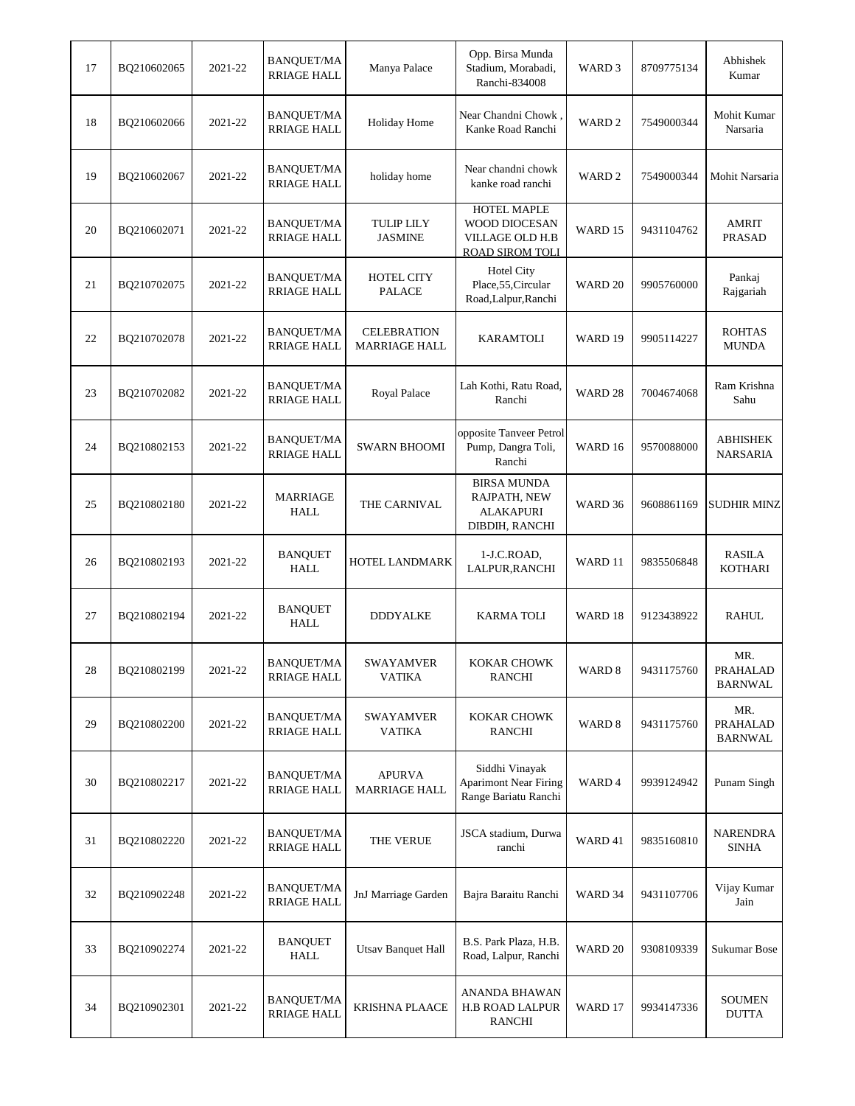| 17 | BQ210602065 | 2021-22 | <b>BANQUET/MA</b><br><b>RRIAGE HALL</b> | Manya Palace                               | Opp. Birsa Munda<br>Stadium, Morabadi,<br>Ranchi-834008                   | WARD 3             | 8709775134 | Abhishek<br>Kumar                 |
|----|-------------|---------|-----------------------------------------|--------------------------------------------|---------------------------------------------------------------------------|--------------------|------------|-----------------------------------|
| 18 | BQ210602066 | 2021-22 | <b>BANQUET/MA</b><br><b>RRIAGE HALL</b> | <b>Holiday Home</b>                        | Near Chandni Chowk,<br>Kanke Road Ranchi                                  | WARD <sub>2</sub>  | 7549000344 | Mohit Kumar<br>Narsaria           |
| 19 | BQ210602067 | 2021-22 | <b>BANQUET/MA</b><br><b>RRIAGE HALL</b> | holiday home                               | Near chandni chowk<br>kanke road ranchi                                   | WARD <sub>2</sub>  | 7549000344 | Mohit Narsaria                    |
| 20 | BO210602071 | 2021-22 | <b>BANQUET/MA</b><br><b>RRIAGE HALL</b> | <b>TULIP LILY</b><br><b>JASMINE</b>        | <b>HOTEL MAPLE</b><br>WOOD DIOCESAN<br>VILLAGE OLD H.B<br>ROAD SIROM TOLI | WARD 15            | 9431104762 | AMRIT<br><b>PRASAD</b>            |
| 21 | BQ210702075 | 2021-22 | <b>BANQUET/MA</b><br><b>RRIAGE HALL</b> | HOTEL CITY<br><b>PALACE</b>                | <b>Hotel City</b><br>Place, 55, Circular<br>Road,Lalpur,Ranchi            | WARD 20            | 9905760000 | Pankaj<br>Rajgariah               |
| 22 | BQ210702078 | 2021-22 | <b>BANQUET/MA</b><br><b>RRIAGE HALL</b> | <b>CELEBRATION</b><br><b>MARRIAGE HALL</b> | KARAMTOLI                                                                 | WARD 19            | 9905114227 | <b>ROHTAS</b><br><b>MUNDA</b>     |
| 23 | BQ210702082 | 2021-22 | <b>BANQUET/MA</b><br><b>RRIAGE HALL</b> | Royal Palace                               | Lah Kothi, Ratu Road,<br>Ranchi                                           | WARD <sub>28</sub> | 7004674068 | Ram Krishna<br>Sahu               |
| 24 | BQ210802153 | 2021-22 | <b>BANQUET/MA</b><br><b>RRIAGE HALL</b> | <b>SWARN BHOOMI</b>                        | opposite Tanveer Petrol<br>Pump, Dangra Toli,<br>Ranchi                   | WARD 16            | 9570088000 | ABHISHEK<br><b>NARSARIA</b>       |
| 25 | BQ210802180 | 2021-22 | <b>MARRIAGE</b><br><b>HALL</b>          | THE CARNIVAL                               | <b>BIRSA MUNDA</b><br>RAJPATH, NEW<br><b>ALAKAPURI</b><br>DIBDIH, RANCHI  | WARD 36            | 9608861169 | <b>SUDHIR MINZ</b>                |
| 26 | BQ210802193 | 2021-22 | <b>BANQUET</b><br><b>HALL</b>           | HOTEL LANDMARK                             | 1-J.C.ROAD,<br>LALPUR, RANCHI                                             | WARD 11            | 9835506848 | RASILA<br><b>KOTHARI</b>          |
| 27 | BQ210802194 | 2021-22 | <b>BANQUET</b><br><b>HALL</b>           | <b>DDDYALKE</b>                            | <b>KARMA TOLI</b>                                                         | WARD 18            | 9123438922 | <b>RAHUL</b>                      |
| 28 | BQ210802199 | 2021-22 | BANQUET/MA<br>RRIAGE HALL               | SWAYAMVER<br><b>VATIKA</b>                 | KOKAR CHOWK<br><b>RANCHI</b>                                              | WARD 8             | 9431175760 | MR.<br>PRAHALAD<br><b>BARNWAL</b> |
| 29 | BQ210802200 | 2021-22 | <b>BANQUET/MA</b><br><b>RRIAGE HALL</b> | <b>SWAYAMVER</b><br><b>VATIKA</b>          | KOKAR CHOWK<br><b>RANCHI</b>                                              | WARD 8             | 9431175760 | MR.<br><b>PRAHALAD</b><br>BARNWAL |
| 30 | BQ210802217 | 2021-22 | <b>BANQUET/MA</b><br><b>RRIAGE HALL</b> | <b>APURVA</b><br><b>MARRIAGE HALL</b>      | Siddhi Vinayak<br><b>Aparimont Near Firing</b><br>Range Bariatu Ranchi    | WARD 4             | 9939124942 | Punam Singh                       |
| 31 | BQ210802220 | 2021-22 | <b>BANQUET/MA</b><br><b>RRIAGE HALL</b> | THE VERUE                                  | JSCA stadium, Durwa<br>ranchi                                             | WARD 41            | 9835160810 | NARENDRA<br><b>SINHA</b>          |
| 32 | BQ210902248 | 2021-22 | <b>BANQUET/MA</b><br><b>RRIAGE HALL</b> | JnJ Marriage Garden                        | Bajra Baraitu Ranchi                                                      | WARD 34            | 9431107706 | Vijay Kumar<br>Jain               |
| 33 | BQ210902274 | 2021-22 | <b>BANQUET</b><br><b>HALL</b>           | <b>Utsav Banquet Hall</b>                  | B.S. Park Plaza, H.B.<br>Road, Lalpur, Ranchi                             | WARD 20            | 9308109339 | Sukumar Bose                      |
| 34 | BQ210902301 | 2021-22 | <b>BANQUET/MA</b><br>RRIAGE HALL        | <b>KRISHNA PLAACE</b>                      | ANANDA BHAWAN<br>H.B ROAD LALPUR<br><b>RANCHI</b>                         | WARD 17            | 9934147336 | <b>SOUMEN</b><br><b>DUTTA</b>     |